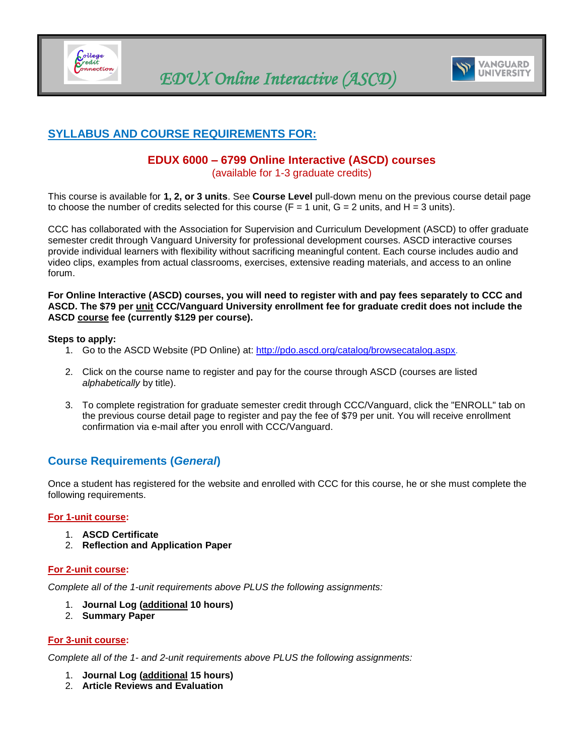<span id="page-0-0"></span>



## **SYLLABUS AND COURSE REQUIREMENTS FOR:**

# **EDUX 6000 – 6799 Online Interactive (ASCD) courses**

(available for 1-3 graduate credits)

This course is available for **1, 2, or 3 units**. See **Course Level** pull-down menu on the previous course detail page to choose the number of credits selected for this course  $(F = 1 \text{ unit}, G = 2 \text{ units}, \text{ and } H = 3 \text{ units}).$ 

CCC has collaborated with the Association for Supervision and Curriculum Development (ASCD) to offer graduate semester credit through Vanguard University for professional development courses. ASCD interactive courses provide individual learners with flexibility without sacrificing meaningful content. Each course includes audio and video clips, examples from actual classrooms, exercises, extensive reading materials, and access to an online forum.

**For Online Interactive (ASCD) courses, you will need to register with and pay fees separately to CCC and ASCD. The \$79 per unit CCC/Vanguard University enrollment fee for graduate credit does not include the ASCD course fee (currently \$129 per course).**

#### **Steps to apply:**

- 1. Go to the ASCD Website (PD Online) at: [http://pdo.ascd.org/catalog/browsecatalog.aspx.](http://pdo.ascd.org/catalog/browsecatalog.aspx)
- 2. Click on the course name to register and pay for the course through ASCD (courses are listed *alphabetically* by title).
- 3. To complete registration for graduate semester credit through CCC/Vanguard, click the "ENROLL" tab on the previous course detail page to register and pay the fee of \$79 per unit. You will receive enrollment confirmation via e-mail after you enroll with CCC/Vanguard.

### **Course Requirements (***General***)**

Once a student has registered for the website and enrolled with CCC for this course, he or she must complete the following requirements.

#### **For 1-unit course:**

- 1. **ASCD Certificate**
- 2. **Reflection and Application Paper**

#### **For 2-unit course:**

*Complete all of the 1-unit requirements above PLUS the following assignments:*

- 1. **Journal Log (additional 10 hours)**
- 2. **Summary Paper**

#### **For 3-unit course:**

*Complete all of the 1- and 2-unit requirements above PLUS the following assignments:*

- 1. **Journal Log (additional 15 hours)**
- 2. **Article Reviews and Evaluation**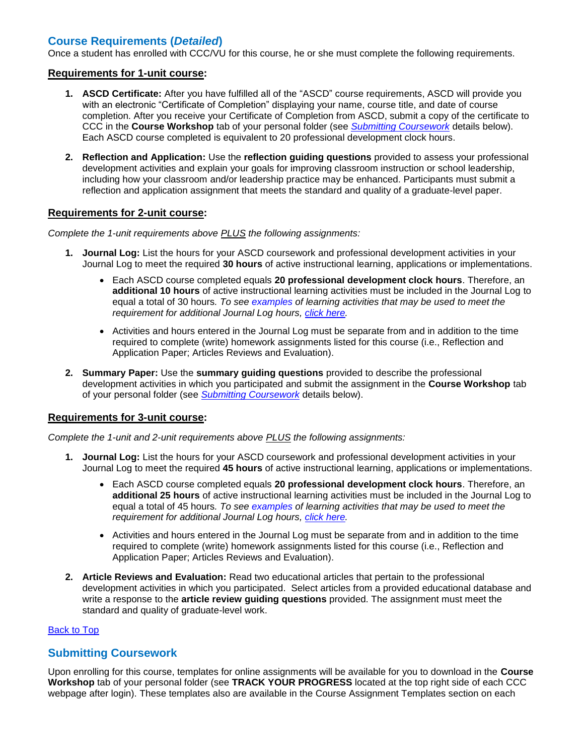## **Course Requirements (***Detailed***)**

Once a student has enrolled with CCC/VU for this course, he or she must complete the following requirements.

#### **Requirements for 1-unit course:**

- **1. ASCD Certificate:** After you have fulfilled all of the "ASCD" course requirements, ASCD will provide you with an electronic "Certificate of Completion" displaying your name, course title, and date of course completion. After you receive your Certificate of Completion from ASCD, submit a copy of the certificate to CCC in the **Course Workshop** tab of your personal folder (see *[Submitting Coursework](#page-1-0)* details below). Each ASCD course completed is equivalent to 20 professional development clock hours.
- **2. Reflection and Application:** Use the **reflection guiding questions** provided to assess your professional development activities and explain your goals for improving classroom instruction or school leadership, including how your classroom and/or leadership practice may be enhanced. Participants must submit a reflection and application assignment that meets the standard and quality of a graduate-level paper.

#### **Requirements for 2-unit course:**

*Complete the 1-unit requirements above PLUS the following assignments:*

- **1. Journal Log:** List the hours for your ASCD coursework and professional development activities in your Journal Log to meet the required **30 hours** of active instructional learning, applications or implementations.
	- Each ASCD course completed equals **20 professional development clock hours**. Therefore, an **additional 10 hours** of active instructional learning activities must be included in the Journal Log to equal a total of 30 hours*. To see [examples](#page-2-0) of learning activities that may be used to meet the requirement for additional Journal Log hours, [click here.](#page-2-0)*
	- Activities and hours entered in the Journal Log must be separate from and in addition to the time required to complete (write) homework assignments listed for this course (i.e., Reflection and Application Paper; Articles Reviews and Evaluation).
- **2. Summary Paper:** Use the **summary guiding questions** provided to describe the professional development activities in which you participated and submit the assignment in the **Course Workshop** tab of your personal folder (see *[Submitting Coursework](#page-1-0)* details below).

### **Requirements for 3-unit course:**

*Complete the 1-unit and 2-unit requirements above PLUS the following assignments:*

- **1. Journal Log:** List the hours for your ASCD coursework and professional development activities in your Journal Log to meet the required **45 hours** of active instructional learning, applications or implementations.
	- Each ASCD course completed equals **20 professional development clock hours**. Therefore, an **additional 25 hours** of active instructional learning activities must be included in the Journal Log to equal a total of 45 hours*. To see [examples](#page-2-0) of learning activities that may be used to meet the requirement for additional Journal Log hours, [click here.](#page-2-0)*
	- Activities and hours entered in the Journal Log must be separate from and in addition to the time required to complete (write) homework assignments listed for this course (i.e., Reflection and Application Paper; Articles Reviews and Evaluation).
- **2. Article Reviews and Evaluation:** Read two educational articles that pertain to the professional development activities in which you participated. Select articles from a provided educational database and write a response to the **article review guiding questions** provided. The assignment must meet the standard and quality of graduate-level work.

#### [Back to Top](#page-0-0)

### <span id="page-1-0"></span>**Submitting Coursework**

Upon enrolling for this course, templates for online assignments will be available for you to download in the **Course Workshop** tab of your personal folder (see **TRACK YOUR PROGRESS** located at the top right side of each CCC webpage after login). These templates also are available in the Course Assignment Templates section on each